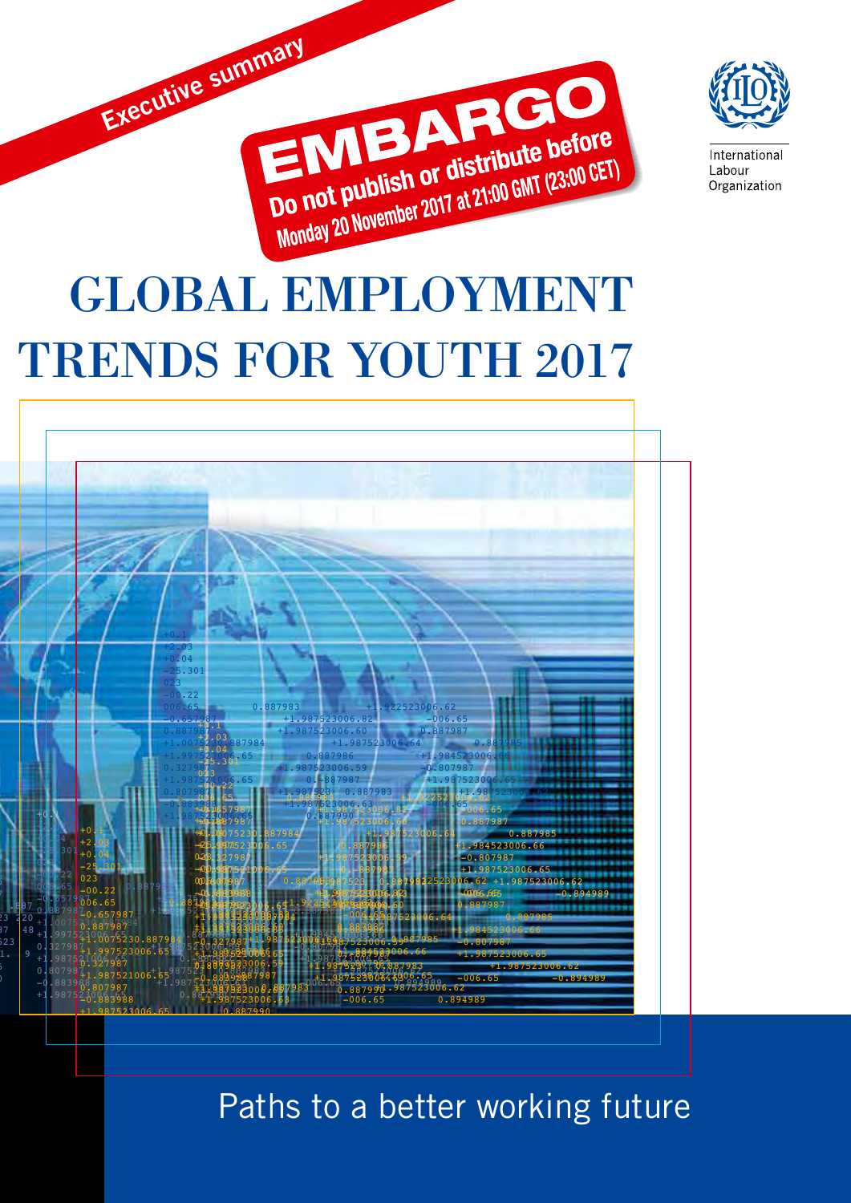



Internationa Labour Organization

## GLOBAL EMPLOYMENT TRENDS FOR YOUTH 2017



Paths to a better working future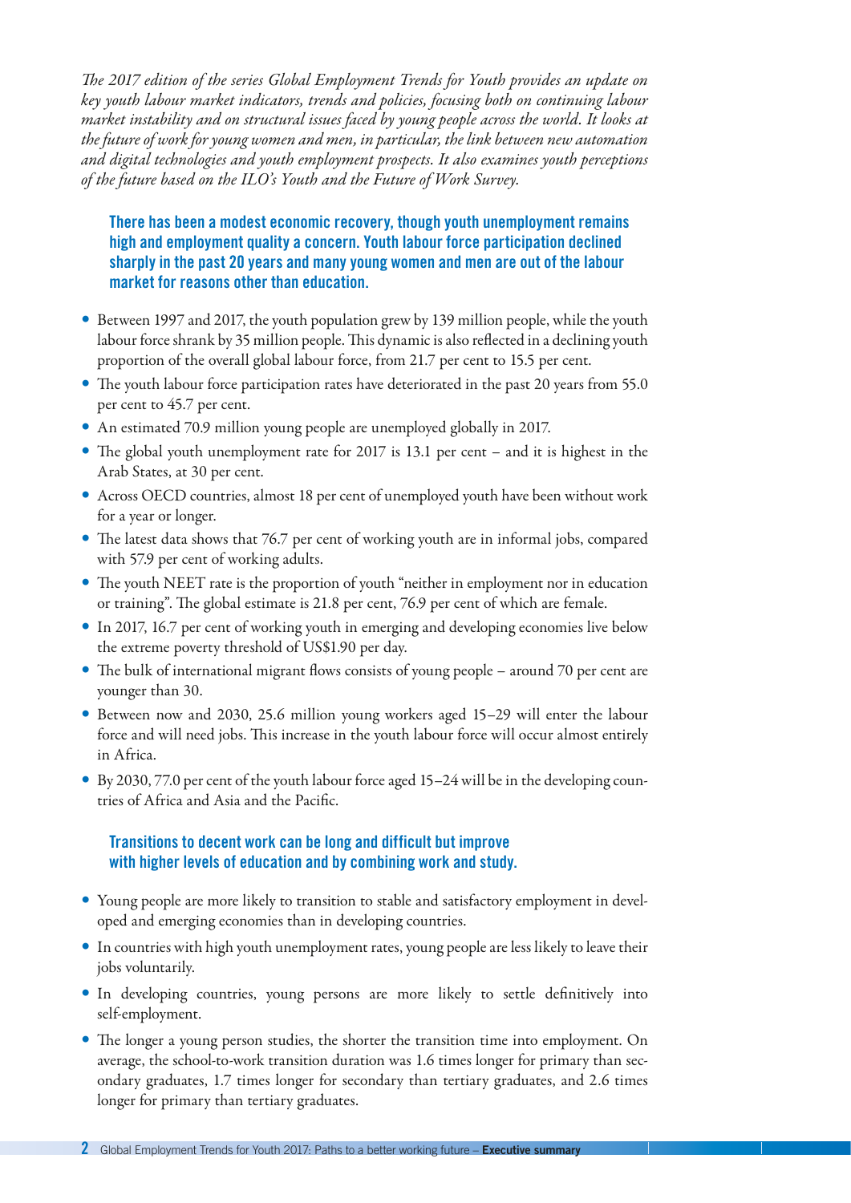*The 2017 edition of the series Global Employment Trends for Youth provides an update on key youth labour market indicators, trends and policies, focusing both on continuing labour market instability and on structural issues faced by young people across the world. It looks at the future of work for young women and men, in particular, the link between new automation and digital technologies and youth employment prospects. It also examines youth perceptions of the future based on the ILO's Youth and the Future of Work Survey.*

There has been a modest economic recovery, though youth unemployment remains high and employment quality a concern. Youth labour force participation declined sharply in the past 20 years and many young women and men are out of the labour market for reasons other than education.

- y Between 1997 and 2017, the youth population grew by 139 million people, while the youth labour force shrank by 35 million people. This dynamic is also reflected in a declining youth proportion of the overall global labour force, from 21.7 per cent to 15.5 per cent.
- The youth labour force participation rates have deteriorated in the past 20 years from 55.0 per cent to 45.7 per cent.
- An estimated 70.9 million young people are unemployed globally in 2017.
- The global youth unemployment rate for 2017 is 13.1 per cent and it is highest in the Arab States, at 30 per cent.
- y Across OECD countries, almost 18 per cent of unemployed youth have been without work for a year or longer.
- The latest data shows that 76.7 per cent of working youth are in informal jobs, compared with 57.9 per cent of working adults.
- The youth NEET rate is the proportion of youth "neither in employment nor in education or training". The global estimate is 21.8 per cent, 76.9 per cent of which are female.
- In 2017, 16.7 per cent of working youth in emerging and developing economies live below the extreme poverty threshold of US\$1.90 per day.
- The bulk of international migrant flows consists of young people around 70 per cent are younger than 30.
- Between now and 2030, 25.6 million young workers aged 15–29 will enter the labour force and will need jobs. This increase in the youth labour force will occur almost entirely in Africa.
- $\bullet$  By 2030, 77.0 per cent of the youth labour force aged 15–24 will be in the developing countries of Africa and Asia and the Pacific.

## Transitions to decent work can be long and difficult but improve with higher levels of education and by combining work and study.

- Young people are more likely to transition to stable and satisfactory employment in developed and emerging economies than in developing countries.
- In countries with high youth unemployment rates, young people are less likely to leave their jobs voluntarily.
- In developing countries, young persons are more likely to settle definitively into self-employment.
- The longer a young person studies, the shorter the transition time into employment. On average, the school-to-work transition duration was 1.6 times longer for primary than secondary graduates, 1.7 times longer for secondary than tertiary graduates, and 2.6 times longer for primary than tertiary graduates.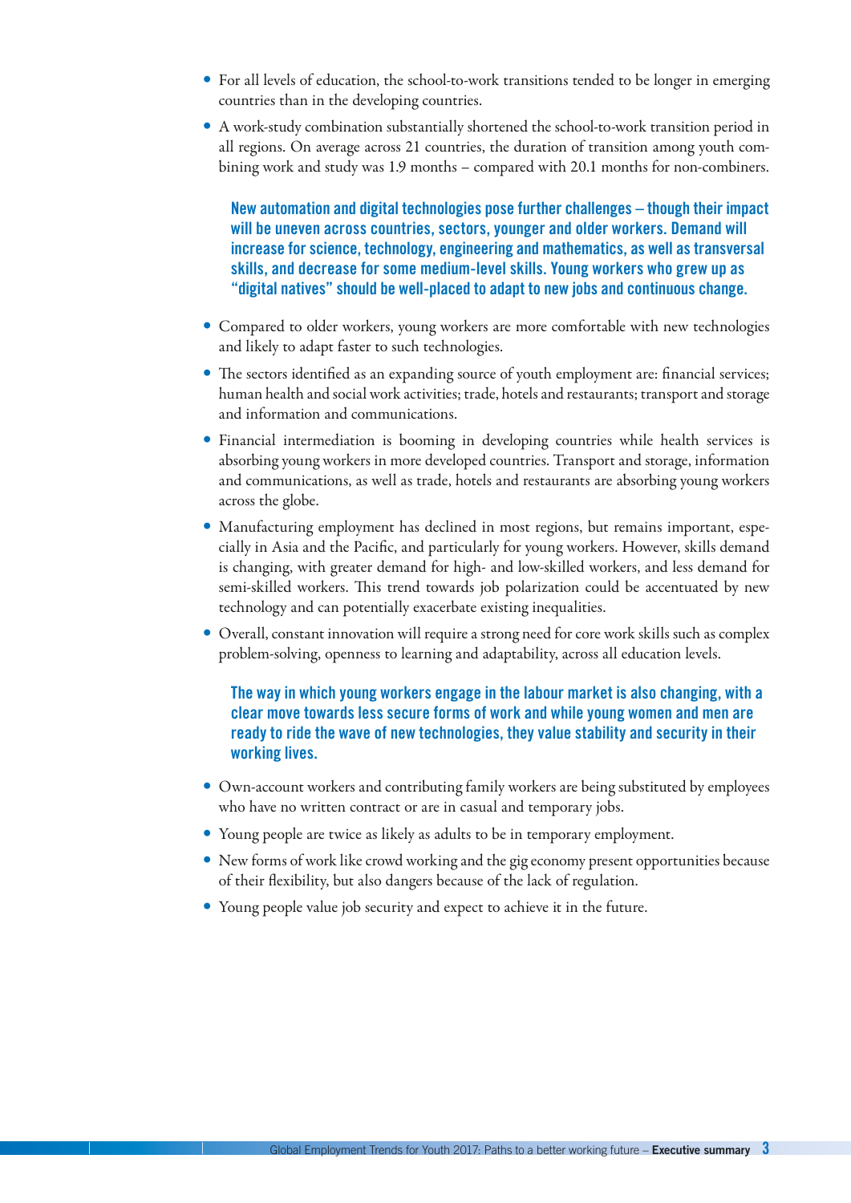- For all levels of education, the school-to-work transitions tended to be longer in emerging countries than in the developing countries.
- A work-study combination substantially shortened the school-to-work transition period in all regions. On average across 21 countries, the duration of transition among youth combining work and study was 1.9 months – compared with 20.1 months for non-combiners.

New automation and digital technologies pose further challenges – though their impact will be uneven across countries, sectors, younger and older workers. Demand will increase for science, technology, engineering and mathematics, as well as transversal skills, and decrease for some medium-level skills. Young workers who grew up as "digital natives" should be well-placed to adapt to new jobs and continuous change.

- Compared to older workers, young workers are more comfortable with new technologies and likely to adapt faster to such technologies.
- The sectors identified as an expanding source of youth employment are: financial services; human health and social work activities; trade, hotels and restaurants; transport and storage and information and communications.
- Financial intermediation is booming in developing countries while health services is absorbing young workers in more developed countries. Transport and storage, information and communications, as well as trade, hotels and restaurants are absorbing young workers across the globe.
- Manufacturing employment has declined in most regions, but remains important, especially in Asia and the Pacific, and particularly for young workers. However, skills demand is changing, with greater demand for high- and low-skilled workers, and less demand for semi-skilled workers. This trend towards job polarization could be accentuated by new technology and can potentially exacerbate existing inequalities.
- Overall, constant innovation will require a strong need for core work skills such as complex problem-solving, openness to learning and adaptability, across all education levels.

## The way in which young workers engage in the labour market is also changing, with a clear move towards less secure forms of work and while young women and men are ready to ride the wave of new technologies, they value stability and security in their working lives.

- Own-account workers and contributing family workers are being substituted by employees who have no written contract or are in casual and temporary jobs.
- Young people are twice as likely as adults to be in temporary employment.
- New forms of work like crowd working and the gig economy present opportunities because of their flexibility, but also dangers because of the lack of regulation.
- Young people value job security and expect to achieve it in the future.